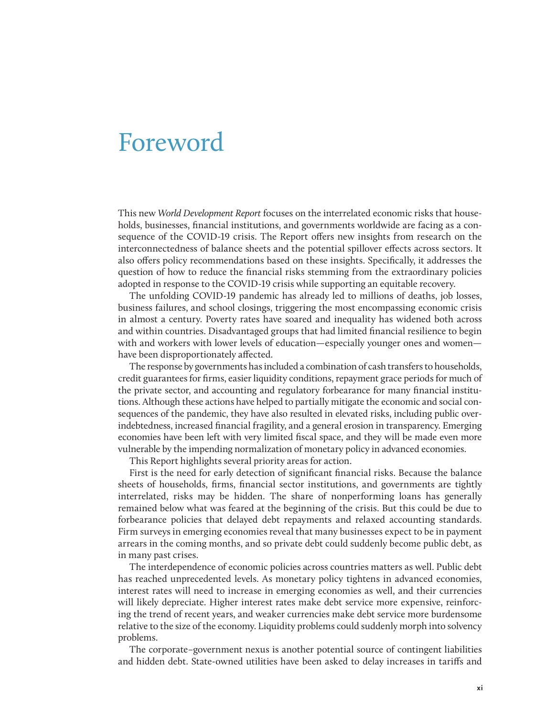## Foreword

This new *World Development Report* focuses on the interrelated economic risks that households, businesses, financial institutions, and governments worldwide are facing as a consequence of the COVID-19 crisis. The Report offers new insights from research on the interconnectedness of balance sheets and the potential spillover effects across sectors. It also offers policy recommendations based on these insights. Specifically, it addresses the question of how to reduce the financial risks stemming from the extraordinary policies adopted in response to the COVID-19 crisis while supporting an equitable recovery.

The unfolding COVID-19 pandemic has already led to millions of deaths, job losses, business failures, and school closings, triggering the most encompassing economic crisis in almost a century. Poverty rates have soared and inequality has widened both across and within countries. Disadvantaged groups that had limited financial resilience to begin with and workers with lower levels of education—especially younger ones and women have been disproportionately affected.

The response by governments has included a combination of cash transfers to households, credit guarantees for firms, easier liquidity conditions, repayment grace periods for much of the private sector, and accounting and regulatory forbearance for many financial institutions. Although these actions have helped to partially mitigate the economic and social consequences of the pandemic, they have also resulted in elevated risks, including public overindebtedness, increased financial fragility, and a general erosion in transparency. Emerging economies have been left with very limited fiscal space, and they will be made even more vulnerable by the impending normalization of monetary policy in advanced economies.

This Report highlights several priority areas for action.

First is the need for early detection of significant financial risks. Because the balance sheets of households, firms, financial sector institutions, and governments are tightly interrelated, risks may be hidden. The share of nonperforming loans has generally remained below what was feared at the beginning of the crisis. But this could be due to forbearance policies that delayed debt repayments and relaxed accounting standards. Firm surveys in emerging economies reveal that many businesses expect to be in payment arrears in the coming months, and so private debt could suddenly become public debt, as in many past crises.

The interdependence of economic policies across countries matters as well. Public debt has reached unprecedented levels. As monetary policy tightens in advanced economies, interest rates will need to increase in emerging economies as well, and their currencies will likely depreciate. Higher interest rates make debt service more expensive, reinforcing the trend of recent years, and weaker currencies make debt service more burdensome relative to the size of the economy. Liquidity problems could suddenly morph into solvency problems.

The corporate–government nexus is another potential source of contingent liabilities and hidden debt. State-owned utilities have been asked to delay increases in tariffs and